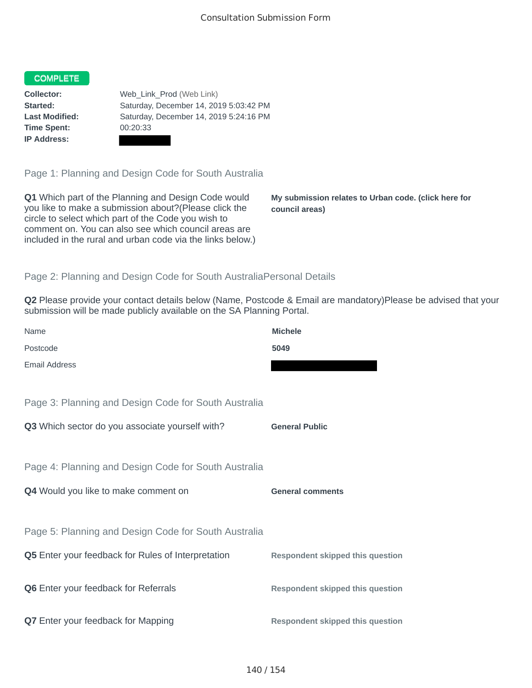## COMPLETE

**Time Spent:** 00:20:33 **IP Address:**

**Collector:** Web\_Link\_Prod (Web Link) **Started:** Saturday, December 14, 2019 5:03:42 PM **Last Modified:** Saturday, December 14, 2019 5:24:16 PM

Page 1: Planning and Design Code for South Australia

**Q1** Which part of the Planning and Design Code would you like to make a submission about?(Please click the circle to select which part of the Code you wish to comment on. You can also see which council areas are included in the rural and urban code via the links below.)

**My submission relates to Urban code. (click here for council areas)**

## Page 2: Planning and Design Code for South AustraliaPersonal Details

**Q2** Please provide your contact details below (Name, Postcode & Email are mandatory)Please be advised that your submission will be made publicly available on the SA Planning Portal.

| Name                                                      | <b>Michele</b>                          |
|-----------------------------------------------------------|-----------------------------------------|
| Postcode                                                  | 5049                                    |
| <b>Email Address</b>                                      |                                         |
|                                                           |                                         |
| Page 3: Planning and Design Code for South Australia      |                                         |
| Q3 Which sector do you associate yourself with?           | <b>General Public</b>                   |
|                                                           |                                         |
| Page 4: Planning and Design Code for South Australia      |                                         |
|                                                           |                                         |
| Q4 Would you like to make comment on                      | <b>General comments</b>                 |
|                                                           |                                         |
| Page 5: Planning and Design Code for South Australia      |                                         |
| <b>Q5</b> Enter your feedback for Rules of Interpretation | <b>Respondent skipped this question</b> |
|                                                           |                                         |
| <b>Q6</b> Enter your feedback for Referrals               | <b>Respondent skipped this question</b> |
|                                                           |                                         |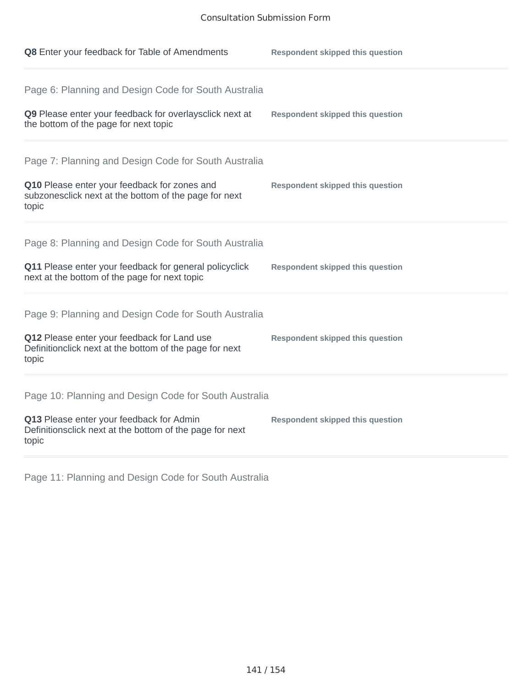| Q8 Enter your feedback for Table of Amendments                                                                                                                          | <b>Respondent skipped this question</b> |
|-------------------------------------------------------------------------------------------------------------------------------------------------------------------------|-----------------------------------------|
| Page 6: Planning and Design Code for South Australia<br>Q9 Please enter your feedback for overlaysclick next at<br>the bottom of the page for next topic                | <b>Respondent skipped this question</b> |
| Page 7: Planning and Design Code for South Australia<br>Q10 Please enter your feedback for zones and<br>subzonesclick next at the bottom of the page for next<br>topic  | <b>Respondent skipped this question</b> |
| Page 8: Planning and Design Code for South Australia<br>Q11 Please enter your feedback for general policyclick<br>next at the bottom of the page for next topic         | <b>Respondent skipped this question</b> |
| Page 9: Planning and Design Code for South Australia<br>Q12 Please enter your feedback for Land use<br>Definitionclick next at the bottom of the page for next<br>topic | <b>Respondent skipped this question</b> |
| Page 10: Planning and Design Code for South Australia<br>Q13 Please enter your feedback for Admin<br>Definitionsclick next at the bottom of the page for next<br>topic  | <b>Respondent skipped this question</b> |

Page 11: Planning and Design Code for South Australia